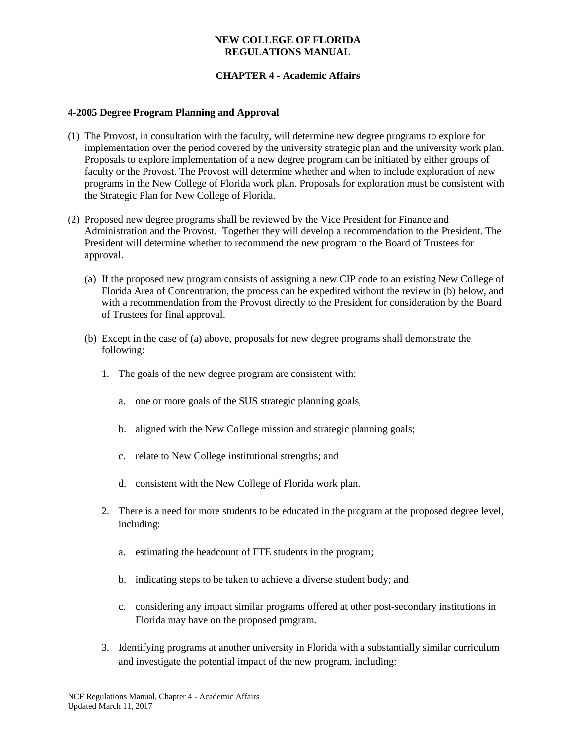#### **NEW COLLEGE OF FLORIDA REGULATIONS MANUAL**

### **CHAPTER 4 - Academic Affairs**

#### **4-2005 Degree Program Planning and Approval**

- (1) The Provost, in consultation with the faculty, will determine new degree programs to explore for implementation over the period covered by the university strategic plan and the university work plan. Proposals to explore implementation of a new degree program can be initiated by either groups of faculty or the Provost. The Provost will determine whether and when to include exploration of new programs in the New College of Florida work plan. Proposals for exploration must be consistent with the Strategic Plan for New College of Florida.
- (2) Proposed new degree programs shall be reviewed by the Vice President for Finance and Administration and the Provost. Together they will develop a recommendation to the President. The President will determine whether to recommend the new program to the Board of Trustees for approval.
	- (a) If the proposed new program consists of assigning a new CIP code to an existing New College of Florida Area of Concentration, the process can be expedited without the review in (b) below, and with a recommendation from the Provost directly to the President for consideration by the Board of Trustees for final approval.
	- (b) Except in the case of (a) above, proposals for new degree programs shall demonstrate the following:
		- 1. The goals of the new degree program are consistent with:
			- a. one or more goals of the SUS strategic planning goals;
			- b. aligned with the New College mission and strategic planning goals;
			- c. relate to New College institutional strengths; and
			- d. consistent with the New College of Florida work plan.
		- 2. There is a need for more students to be educated in the program at the proposed degree level, including:
			- a. estimating the headcount of FTE students in the program;
			- b. indicating steps to be taken to achieve a diverse student body; and
			- c. considering any impact similar programs offered at other post-secondary institutions in Florida may have on the proposed program.
		- 3. Identifying programs at another university in Florida with a substantially similar curriculum and investigate the potential impact of the new program, including: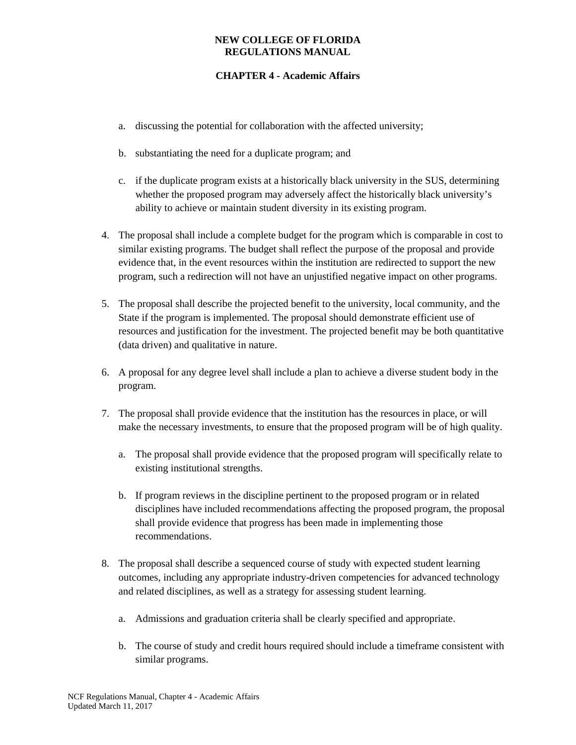#### **NEW COLLEGE OF FLORIDA REGULATIONS MANUAL**

# **CHAPTER 4 - Academic Affairs**

- a. discussing the potential for collaboration with the affected university;
- b. substantiating the need for a duplicate program; and
- c. if the duplicate program exists at a historically black university in the SUS, determining whether the proposed program may adversely affect the historically black university's ability to achieve or maintain student diversity in its existing program.
- 4. The proposal shall include a complete budget for the program which is comparable in cost to similar existing programs. The budget shall reflect the purpose of the proposal and provide evidence that, in the event resources within the institution are redirected to support the new program, such a redirection will not have an unjustified negative impact on other programs.
- 5. The proposal shall describe the projected benefit to the university, local community, and the State if the program is implemented. The proposal should demonstrate efficient use of resources and justification for the investment. The projected benefit may be both quantitative (data driven) and qualitative in nature.
- 6. A proposal for any degree level shall include a plan to achieve a diverse student body in the program.
- 7. The proposal shall provide evidence that the institution has the resources in place, or will make the necessary investments, to ensure that the proposed program will be of high quality.
	- a. The proposal shall provide evidence that the proposed program will specifically relate to existing institutional strengths.
	- b. If program reviews in the discipline pertinent to the proposed program or in related disciplines have included recommendations affecting the proposed program, the proposal shall provide evidence that progress has been made in implementing those recommendations.
- 8. The proposal shall describe a sequenced course of study with expected student learning outcomes, including any appropriate industry-driven competencies for advanced technology and related disciplines, as well as a strategy for assessing student learning.
	- a. Admissions and graduation criteria shall be clearly specified and appropriate.
	- b. The course of study and credit hours required should include a timeframe consistent with similar programs.